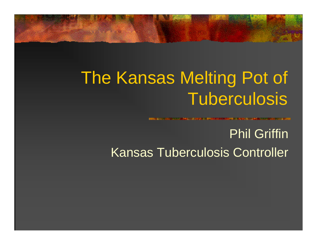## The Kansas Melting Pot of Tuberculosis

### Phil Griffin Kansas Tuberculosis Controller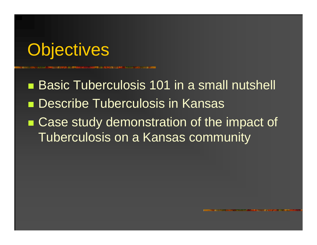### **Objectives**

■ Basic Tuberculosis 101 in a small nutshell **Describe Tuberculosis in Kansas** ■ Case study demonstration of the impact of Tuberculosis on a Kansas community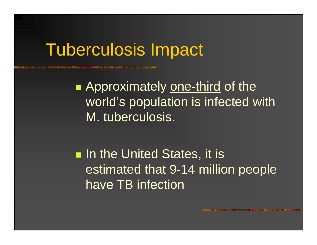### Tuberculosis Impact

**Approximately one-third of the** world's population is infected with M. tuberculosis.

**Iomer In the United States, it is a** estimated that 9-14 million people have TB infection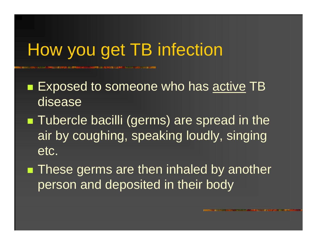# How you get TB infection

■ Exposed to someone who has <u>active</u> TB disease

- **Tubercle bacilli (germs) are spread in the** air by coughing, speaking loudly, singing etc.
- **These germs are then inhaled by another** person and deposited in their body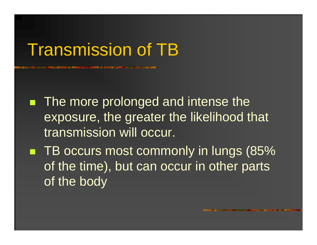### Transmission of TB

**The more prolonged and intense the** exposure, the greater the likelihood that transmission will occur.

■ TB occurs most commonly in lungs (85% of the time), but can occur in other parts of the body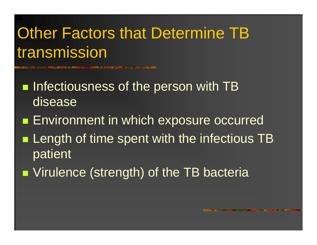### **Other Factors that Determine TB** transmission

- $\blacksquare$  Infectiousness of the person with TB disease
- **Environment in which exposure occurred**
- **Length of time spent with the infectious TB** patient
- **Number 10 Strength) of the TB bacterially**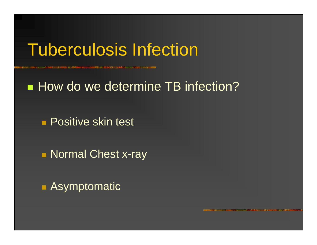### Tuberculosis Infection

### **How do we determine TB infection?**

**• Positive skin test** 

**Normal Chest x-ray** 

■ Asymptomatic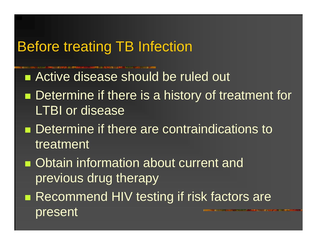### Before treating TB Infection

- Active disease should be ruled out
- **CONTRACTOR Determine if there is a history of treatment for** LTBI or disease
- **Determine if there are contraindications to** treatment
- **Obtain information about current and** previous drug therapy
- Recommend HIV testing if risk factors are present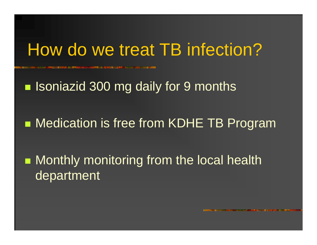### How do we treat TB infection?

**External Isoniazid 300 mg daily for 9 months** 

**• Medication is free from KDHE TB Program** 

**Nonthly monitoring from the local health** department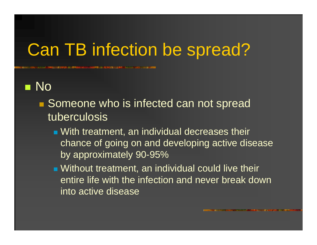## Can TB infection be spread?

### **n** No

- Someone who is infected can not spread tuberculosis
	- With treatment, an individual decreases their chance of going on and developing active disease by approximately 90-95%
	- Without treatment, an individual could live their entire life with the infection and never break down into active disease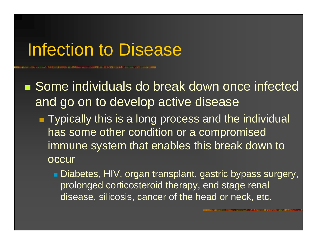### Infection to Disease

■ Some individuals do break down once infected and go on to develop active disease **Typically this is a long process and the individual** has some other condition or a compromised immune system that enables this break down to occur

> ■ Diabetes, HIV, organ transplant, gastric bypass surgery, prolonged corticosteroid therapy, end stage renal disease, silicosis, cancer of the head or neck, etc.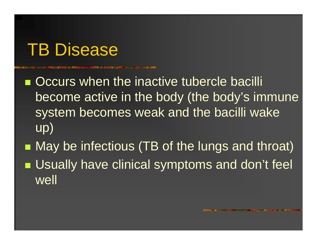### TB Disease

**Occurs when the inactive tubercle bacilli** become active in the body (the body's immune system becomes weak and the bacilli wake up)

■ May be infectious (TB of the lungs and throat) **■ Usually have clinical symptoms and don't feel** well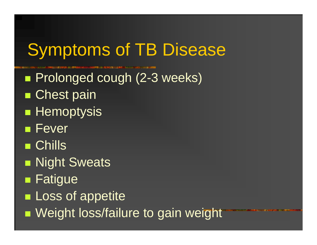# Symptoms of TB Disease

- **Prolonged cough (2-3 weeks)**
- ■ Chest pain
- $\blacksquare$  Hemoptysis
- **Fever**
- Chills
- **Night Sweats**
- Fatigue
- **Loss of appetite**
- **Neight loss/failure to gain weight**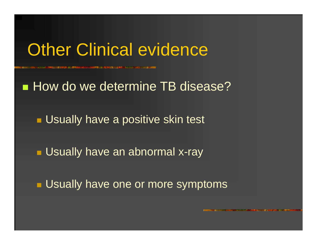### **Other Clinical evidence**

### **How do we determine TB disease?**

**Usually have a positive skin test** 

**L** Usually have an abnormal x-ray

**Usually have one or more symptoms**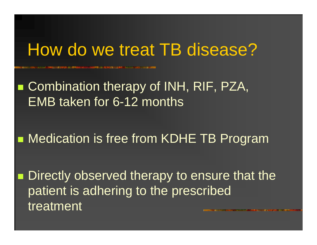### How do we treat TB disease?

■ Combination therapy of INH, RIF, PZA, EMB taken for 6-12 months

**• Medication is free from KDHE TB Program** 

■ Directly observed therapy to ensure that the patient is adhering to the prescribed treatment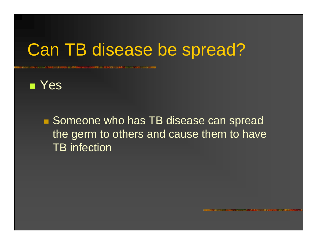### Can TB disease be spread?



■ Someone who has TB disease can spread the germ to others and cause them to have TB infection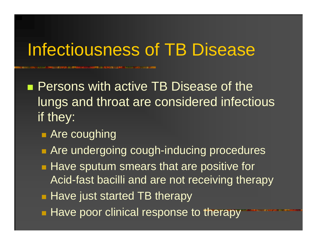### Infectiousness of TB Disease

- **Persons with active TB Disease of the** lungs and throat are considered infectious if they:
	- **Rate coughing**
	- **Are undergoing cough-inducing procedures**
	- **Have sputum smears that are positive for** Acid-fast bacilli and are not receiving therapy
	- **Have just started TB therapy**
	- Have poor clinical response to therapy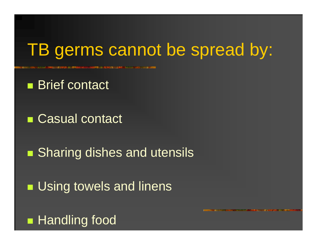### TB germs cannot be spread by:

- Brief contact
- Casual contact
- **Sharing dishes and utensils**
- **Using towels and linens**
- **Handling food**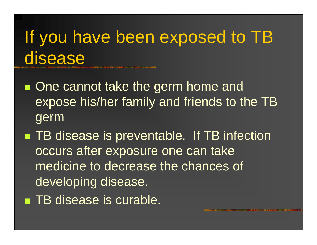If you have been exposed to TB disease

- **One cannot take the germ home and** expose his/her family and friends to the TB germ
- ■ TB disease is preventable. If TB infection occurs after exposure one can take medicine to decrease the chances of developing disease. **TB** disease is curable.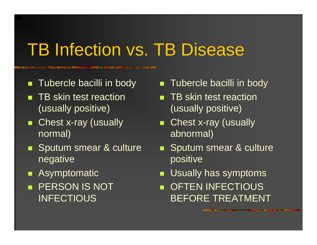# **TB Infection vs. TB Disease**

F Tubercle bacilli in body

- **THE SKIN THE SKIN THE SKIN ST** (usually positive)
- $\blacksquare$  Chest x-ray (usually normal)
- **Sputum smear & culture** negative
- п Asymptomatic
- **PERSON IS NOT INFECTIOUS**
- **Tubercle bacilli in body**
- **THE SKIN THE SKIN THE SKIN ST** (usually positive)
- . Chest x-ray (usually abnormal)
- Т, Sputum smear & culture positive
- Г Usually has symptoms
- **DETEN INFECTIOUS** BEFORE TREATMENT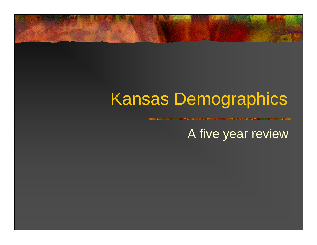### Kansas Demographics

A five year review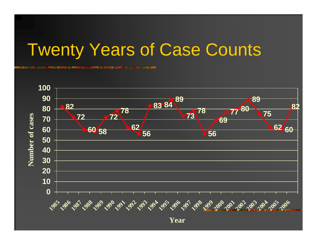### Twenty Years of Case Counts



**Year**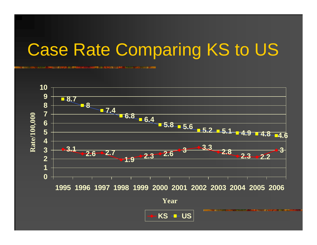# Case Rate Comparing KS to US



$$
\leftarrow \mathsf{KS} - \mathsf{US}
$$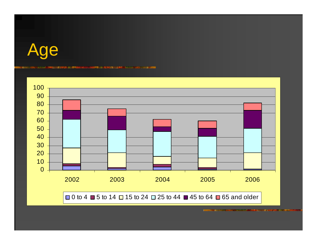

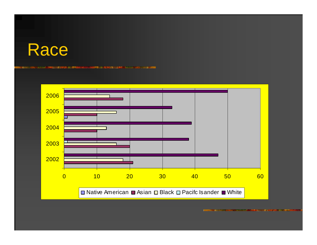### Race

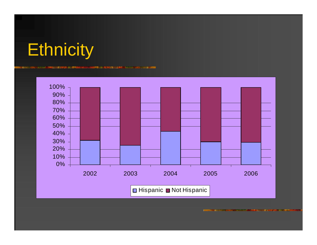

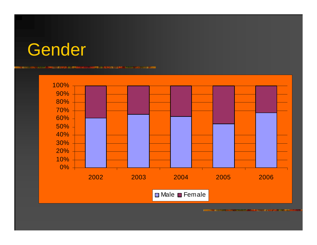

**CASE A CASE AND THE REAL** 

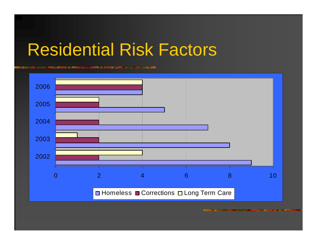### Residential Risk Factors

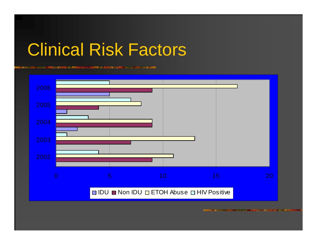### Clinical Risk Factors

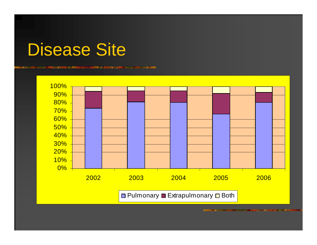### Disease Site

**New York Committee Committee** 

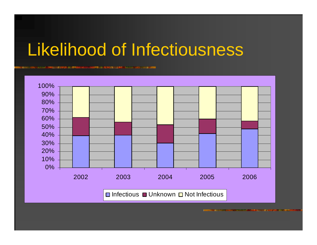### Likelihood of Infectiousness

**Production and in the contract of the contract of the contract of the contract of the contract of the contract** 

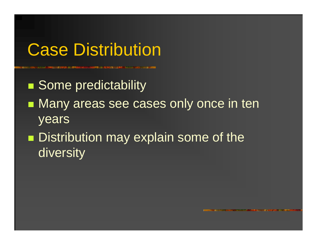**Some predictability** 

- **Nany areas see cases only once in ten** years
- **CONTRACTOR Distribution may explain some of the** diversity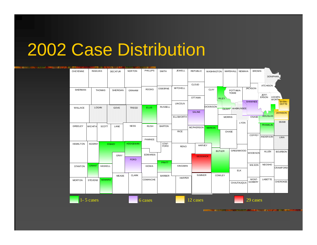| <b>CONTRACTOR BE</b><br>二重主 |                 |                |                |                |                 |                |                |                  |                  |                  |               |                 |                  |                |                 |                 |
|-----------------------------|-----------------|----------------|----------------|----------------|-----------------|----------------|----------------|------------------|------------------|------------------|---------------|-----------------|------------------|----------------|-----------------|-----------------|
|                             | <b>CHEYENNE</b> | <b>RAWLINS</b> |                | <b>DECATUR</b> | <b>NORTON</b>   | PHILUPS        | <b>SMITH</b>   | <b>JEWELL</b>    | <b>REPUBLIC</b>  | WASHINGTON       |               | <b>MARSHALL</b> | <b>NEMAHA</b>    | <b>BROWN</b>   |                 |                 |
|                             |                 |                |                |                |                 |                |                |                  |                  |                  |               |                 |                  |                |                 |                 |
|                             |                 |                |                |                |                 |                |                |                  |                  |                  |               |                 |                  |                | DONIPHAN        |                 |
|                             |                 |                |                |                |                 |                |                |                  |                  |                  |               |                 |                  |                |                 |                 |
|                             |                 |                |                |                |                 |                |                |                  | <b>CLOUD</b>     |                  |               |                 |                  |                | <b>ATCHISON</b> |                 |
|                             | <b>SHERMAN</b>  |                | <b>THOMAS</b>  | SHERIDAN       | <b>GRAHAM</b>   | <b>ROOKS</b>   | <b>OSBORNE</b> | <b>MITCHELL</b>  |                  | <b>CLAY</b>      |               | POTTAWA-        |                  | <b>JACKSON</b> |                 |                 |
|                             |                 |                |                |                |                 |                |                |                  |                  |                  |               | <b>TOMIE</b>    |                  |                |                 |                 |
|                             |                 |                |                |                |                 |                |                |                  | <b>OTTAWA</b>    |                  |               |                 |                  |                | JEFF-<br>ERSON  | LEAVEN-         |
|                             |                 |                |                |                |                 |                |                |                  |                  |                  | <b>RILEY</b>  |                 |                  |                |                 | EAVENT          |
|                             |                 |                |                |                |                 |                |                | <b>LINCOLN</b>   |                  |                  |               |                 |                  | SHAWNEE        |                 |                 |
|                             | WALLACE         | <b>LOGAN</b>   |                | GOVE           | <b>TREGO</b>    | <b>ELLIS</b>   | <b>RUSSELL</b> |                  |                  | <b>DICKINSON</b> |               |                 | <b>WABAUNSEE</b> |                |                 |                 |
|                             |                 |                |                |                |                 |                |                |                  | <b>SALINE</b>    |                  |               | <b>GEARY</b>    |                  |                |                 |                 |
|                             |                 |                |                |                |                 |                |                |                  |                  |                  |               |                 |                  |                | DOUGLAS         | <b>JOHNSON</b>  |
|                             |                 |                |                |                |                 |                |                | <b>ELLSWORTH</b> |                  |                  |               | <b>MORRIS</b>   |                  | OSAGE          |                 |                 |
|                             |                 |                |                |                |                 |                |                |                  |                  |                  |               |                 | <b>LYON</b>      |                |                 | MIAMI           |
|                             | GREELEY         | <b>WICHITA</b> | SCOTT          | LANE           | <b>NESS</b>     | <b>RUSH</b>    | <b>BARTON</b>  |                  |                  |                  |               |                 |                  |                | <b>FRANKLIN</b> |                 |
|                             |                 |                |                |                |                 |                |                |                  | <b>MCPHERSON</b> | <b>MARION</b>    |               |                 |                  |                |                 |                 |
|                             |                 |                |                |                |                 |                |                | <b>RICE</b>      |                  |                  |               | CHASE           |                  |                |                 |                 |
|                             |                 |                |                |                |                 |                |                |                  |                  |                  |               |                 |                  | <b>COFFEY</b>  | <b>ANDERSON</b> | <b>LINN</b>     |
|                             |                 |                |                |                |                 | PAWNEE         |                |                  |                  |                  |               |                 |                  |                |                 |                 |
|                             | <b>HAMILTON</b> | <b>KEARNY</b>  |                | <b>FINNEY</b>  | <b>HODGEMAN</b> |                | STAF-<br>FORD  |                  |                  |                  |               |                 |                  |                |                 |                 |
|                             |                 |                |                |                |                 |                |                | <b>RENO</b>      | <b>HARVEY</b>    |                  |               |                 |                  |                |                 |                 |
|                             |                 |                |                |                |                 |                |                |                  |                  |                  | <b>BUTLER</b> |                 | <b>GREENWOOD</b> |                | <b>ALLEN</b>    | <b>BOURBON</b>  |
|                             |                 |                |                | GRAY           |                 | <b>EDWARDS</b> |                |                  |                  |                  |               |                 |                  | WOODSON        |                 |                 |
|                             |                 |                |                |                | <b>FORD</b>     |                |                |                  | <b>SEDGWICK</b>  |                  |               |                 |                  |                |                 |                 |
|                             |                 |                |                |                |                 |                | PRATT          |                  |                  |                  |               |                 |                  |                |                 |                 |
|                             | <b>STANTON</b>  | <b>GRANT</b>   | <b>HASKELL</b> |                |                 | <b>KIOWA</b>   |                | KINGMAN          |                  |                  |               |                 |                  | WILSON         | <b>NEOSHO</b>   |                 |
|                             |                 |                |                |                |                 |                |                |                  |                  |                  |               |                 | <b>ELK</b>       |                |                 | <b>CRAWFORD</b> |
|                             |                 |                |                |                |                 |                |                |                  |                  |                  |               |                 |                  |                |                 |                 |
|                             |                 |                |                | <b>MEADE</b>   | <b>CLARK</b>    |                | <b>BARBER</b>  | <b>HARPER</b>    | <b>SUMNER</b>    |                  | COWLEY        |                 |                  |                |                 |                 |
|                             | <b>MORTON</b>   | <b>STEVENS</b> | <b>SEWARD</b>  |                |                 | COMANCHE       |                |                  |                  |                  |               |                 |                  | MONT-          | <b>LABETTE</b>  |                 |
|                             |                 |                |                |                |                 |                |                |                  |                  |                  |               |                 | CHAUTAUQUA       | <b>GOMERY</b>  |                 | <b>CHEROKEE</b> |
|                             |                 |                |                |                |                 |                |                |                  |                  |                  |               |                 |                  |                |                 |                 |
|                             |                 |                |                |                |                 |                |                |                  |                  |                  |               |                 |                  |                |                 |                 |
|                             |                 |                |                |                |                 |                |                |                  |                  |                  |               |                 |                  |                |                 |                 |
|                             |                 |                |                |                |                 |                |                |                  |                  |                  |               |                 |                  |                |                 |                 |
|                             |                 | $1 - 5$ cases  |                |                |                 | 6 cases        |                |                  | 12 cases         |                  |               |                 |                  | 29 cases       |                 |                 |
|                             |                 |                |                |                |                 |                |                |                  |                  |                  |               |                 |                  |                |                 |                 |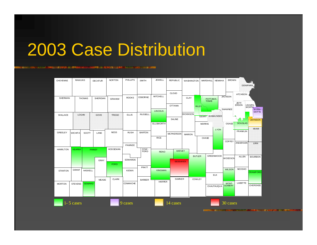<u>in manakan baru meng</u> **AT REGISTAN MARKET AND A STARTED AND A STARTED ENTERNATION Constitution** 100103-003

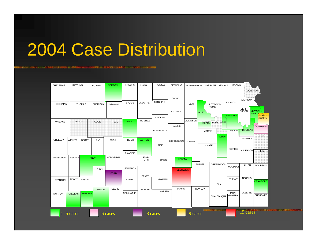<u> State v se svojetnik koje stanov</u> **Manufacture NY INSEE ALANA** ALANA AMIN'NY FIVONDRONAN-PAOSITRA **ENERGIO COURSE** 

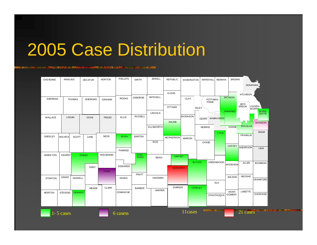n de la componenta **Exception of the Second Property SERIOLENS PR語には、書店で** 

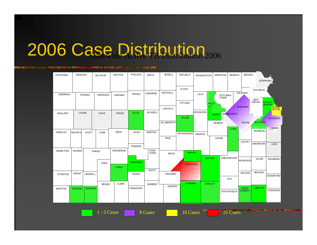<u> 1999 - 1999 - 1999 - 1990 - 1990 - 1990 - 1990 - 1990 - 1990 - 1990 - 1990 - 1990 - 1990 - 1990 - 1990 - 1990</u>

| CHEYENNE        | <b>RAWLINS</b> |                | <b>DECATUR</b> | <b>NORTON</b>   | PHILLIPS        | <b>SMITH</b>   | <b>JEWELL</b>    | <b>REPUBLIC</b>  | WASHINGTON       |               | <b>MARSHALL</b> | <b>NEMAHA</b>    | <b>BROWN</b>   |                 |                       |
|-----------------|----------------|----------------|----------------|-----------------|-----------------|----------------|------------------|------------------|------------------|---------------|-----------------|------------------|----------------|-----------------|-----------------------|
|                 |                |                |                |                 |                 |                |                  |                  |                  |               |                 |                  |                |                 | DONIPHAN              |
|                 |                |                |                |                 |                 |                |                  | <b>CLOUD</b>     |                  |               |                 |                  |                | <b>ATCHISON</b> |                       |
| <b>SHERMAN</b>  |                | <b>THOMAS</b>  | SHERIDAN       | <b>GRAHAM</b>   | <b>ROOKS</b>    | <b>OSBORNE</b> | <b>MITCHELL</b>  |                  | <b>CLAY</b>      |               | POTTAWA-        |                  | <b>JACKSON</b> |                 |                       |
|                 |                |                |                |                 |                 |                |                  |                  |                  |               | <b>TOMIE</b>    |                  |                | JEFF-<br>ERSON  | LEAVEN-               |
|                 |                |                |                |                 |                 |                |                  | <b>OTTAWA</b>    |                  | <b>RILEY</b>  |                 |                  | <b>SHAWNEE</b> |                 | <b>WORTH</b><br>WYAN- |
| WALLACE         | <b>LOGAN</b>   |                | GOVE           | <b>TREGO</b>    | <b>ELLIS</b>    | <b>RUSSELL</b> | <b>LINCOLN</b>   |                  | <b>DICKINSON</b> | <b>GEARY</b>  |                 | <b>WABAUNSEE</b> |                |                 |                       |
|                 |                |                |                |                 |                 |                |                  | <b>SALINE</b>    |                  |               |                 |                  |                |                 | JOHNSON               |
|                 |                |                |                |                 |                 |                | <b>ELLSWORTH</b> |                  |                  |               | <b>MORRIS</b>   |                  | <b>OSAGE</b>   | <b>DOUGLAS</b>  |                       |
| <b>GREELEY</b>  | <b>WICHITA</b> | SCOTT          | LANE           | <b>NESS</b>     | <b>RUSH</b>     | <b>BARTON</b>  |                  | <b>MCPHERSON</b> |                  |               |                 | <b>LYON</b>      |                | <b>FRANKLIN</b> | <b>MIAMI</b>          |
|                 |                |                |                |                 |                 |                | <b>RICE</b>      |                  | <b>MARION</b>    |               | CHASE           |                  |                |                 |                       |
|                 |                |                |                |                 | PAWNEE          |                |                  |                  |                  |               |                 |                  | COFFEY         | ANDER SON       | LINN                  |
| <b>HAMILTON</b> | <b>KEARNY</b>  |                | <b>FINNEY</b>  | <b>HODGEMAN</b> |                 | STAF-<br>FORD  |                  | <b>HARVEY</b>    |                  |               |                 |                  |                |                 |                       |
|                 |                |                |                |                 |                 |                | <b>RENO</b>      |                  |                  | <b>BUTLER</b> |                 | <b>GREENWOOD</b> |                |                 |                       |
|                 |                |                | <b>GRAY</b>    |                 | <b>EDWARDS</b>  |                |                  | <b>SEDGWICK</b>  |                  |               |                 |                  | <b>WOODSON</b> | <b>ALLEN</b>    | <b>BOURBON</b>        |
|                 |                |                |                | <b>FORD</b>     |                 | PRATT          |                  |                  |                  |               |                 |                  |                |                 |                       |
| <b>STANTON</b>  | <b>GRANT</b>   | <b>HASKELL</b> |                |                 | <b>KIOWA</b>    |                | <b>KINGMAN</b>   |                  |                  |               |                 |                  | <b>WILSON</b>  | <b>NEOSHO</b>   | <b>CRAWFORD</b>       |
|                 |                |                |                |                 |                 |                |                  | <b>SUMNER</b>    |                  |               |                 | <b>ELK</b>       |                |                 |                       |
| <b>MORTON</b>   | <b>STEVENS</b> | <b>SEWARD</b>  | <b>MEADE</b>   | <b>CLARK</b>    | <b>COMANCHE</b> | <b>BARBER</b>  | <b>HARPER</b>    |                  |                  | <b>COWLEY</b> |                 |                  | <b>MONT-</b>   | <b>LABETTE</b>  |                       |
|                 |                |                |                |                 |                 |                |                  |                  |                  |               |                 | CHAUTAUQUA       | <b>GOMERY</b>  |                 | <b>CHEROKEE</b>       |
|                 |                |                |                |                 |                 |                |                  |                  |                  |               |                 |                  |                |                 |                       |

1 - 5 Cases

8 Cases

10 Cases 25 Cases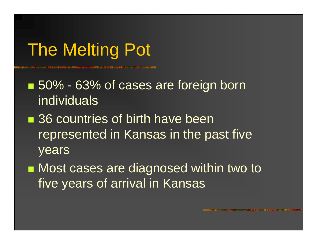# The Melting Pot

■ 50% - 63% of cases are foreign born individuals

■ 36 countries of birth have been represented in Kansas in the past five years

■ Most cases are diagnosed within two to five years of arrival in Kansas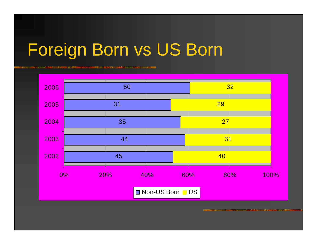# Foreign Born vs US Born

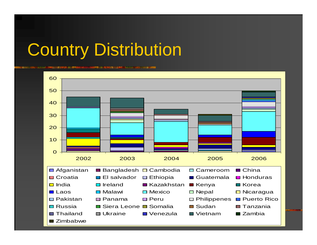### Country Distribution

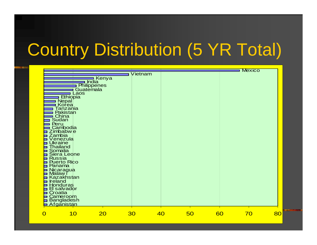# Country Distribution (5 YR Total)

|                                    |                                       |         |    |    |    | <b>Mexico</b> |
|------------------------------------|---------------------------------------|---------|----|----|----|---------------|
|                                    |                                       | Vietnam |    |    |    |               |
|                                    | ∎ Ke <mark>nya</mark><br><b>India</b> |         |    |    |    |               |
|                                    | Philippenes                           |         |    |    |    |               |
|                                    | Guatemala                             |         |    |    |    |               |
| Laos<br><b>Ethiopia</b>            |                                       |         |    |    |    |               |
|                                    |                                       |         |    |    |    |               |
| – Depal<br>∟Korea<br>Tanzania      |                                       |         |    |    |    |               |
|                                    |                                       |         |    |    |    |               |
| Pakistan<br>China                  |                                       |         |    |    |    |               |
| Sudan                              |                                       |         |    |    |    |               |
| Peru                               |                                       |         |    |    |    |               |
| Cambodia<br>Zimbabw <sub>e</sub>   |                                       |         |    |    |    |               |
| Zambia                             |                                       |         |    |    |    |               |
| Venezula                           |                                       |         |    |    |    |               |
| <b>Ukraine</b>                     |                                       |         |    |    |    |               |
| Thailand<br>Somalia                |                                       |         |    |    |    |               |
| Siera Leone                        |                                       |         |    |    |    |               |
| Russia<br>Puerto Rico              |                                       |         |    |    |    |               |
| Panama                             |                                       |         |    |    |    |               |
|                                    |                                       |         |    |    |    |               |
| Nicaragua<br>Malaw i<br>Kazakhstan |                                       |         |    |    |    |               |
| <b>Ireland</b>                     |                                       |         |    |    |    |               |
| Honduras                           |                                       |         |    |    |    |               |
| El salvador                        |                                       |         |    |    |    |               |
| Croatia                            |                                       |         |    |    |    |               |
| Cameroom<br>Bangladesh             |                                       |         |    |    |    |               |
| <u>Afganistan</u>                  |                                       |         |    |    |    |               |
| <b>10</b><br>$\overline{O}$        | <b>20</b>                             | 30      | 40 | 50 | 60 | 80<br>70      |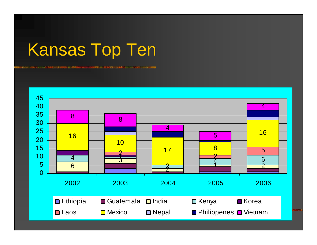# Kansas Top Ten

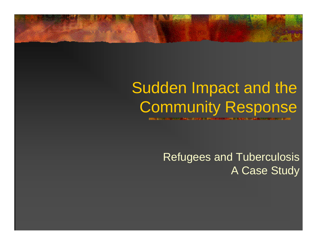### Sudden Impact and the Community Response

Refugees and Tuberculosis A Case Study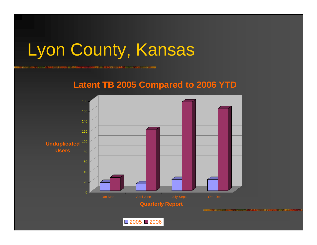## Lyon County, Kansas

**BELOW AND THE REAL PROPERTY OF A STATE OF A STATE OF A STATE OF A STATE OF A STATE OF A STATE OF A STATE OF A** 

### **Latent TB 2005 Compared to 2006 YTD**

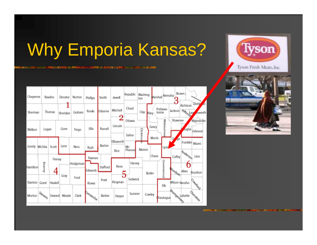# Why Emporia Kansas?

n Maria ang P 



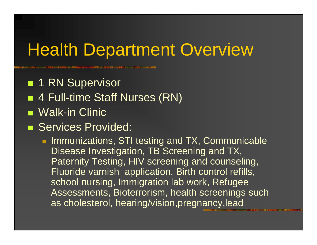### **Health Department Overview**

**1 RN Supervisor** 

- 4 Full-time Staff Nurses (RN)
- Walk-in Clinic
- **Services Provided:**

**Immunizations, STI testing and TX, Communicable** Disease Investigation, TB Screening and TX, Paternity Testing, HIV screening and counseling, Fluoride varnish application, Birth control refills, school nursing, Immigration lab work, Refugee Assessments, Bioterrorism, health screenings such as cholesterol, hearing/vision,pregnancy,lead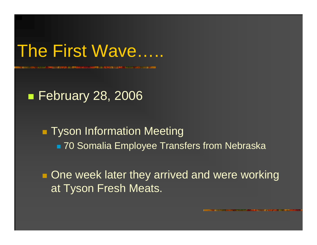### The First Wave…..

### ■ February 28, 2006

### **Tyson Information Meeting** ■ 70 Somalia Employee Transfers from Nebraska

**One week later they arrived and were working** at Tyson Fresh Meats.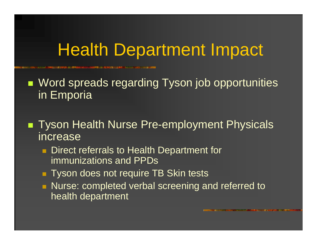■ Word spreads regarding Tyson job opportunities in Emporia

■ Tyson Health Nurse Pre-employment Physicals increase

- **Direct referrals to Health Department for** immunizations and PPDs
- **Tyson does not require TB Skin tests**
- **Nurse: completed verbal screening and referred to** health department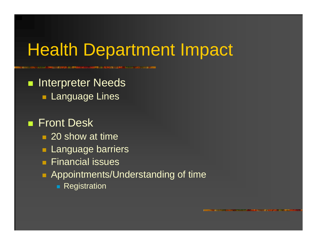**Reference Interpreter Needs Language Lines** 

### ■ Front Desk

- 20 show at time
- **Language barriers**
- $\blacksquare$  Financial issues
- **Appointments/Understanding of time** 
	- **Registration**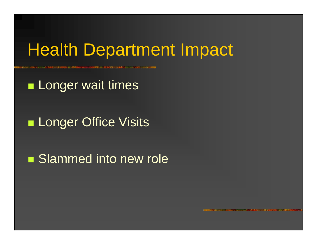**Longer wait times** 

**Longer Office Visits** 

**Slammed into new role**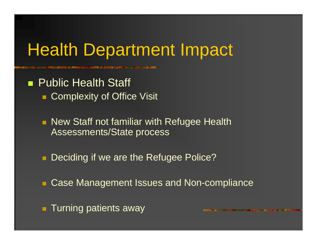**Public Health Staff Complexity of Office Visit** 

> **New Staff not familiar with Refugee Health** Assessments/State process

 $\blacksquare$ Deciding if we are the Refugee Police?

**E Case Management Issues and Non-compliance** 

**Turning patients away**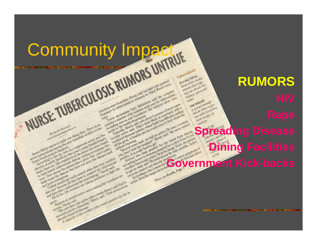# Community Impacture

Representation of the Hinduity of the Registered purse is the reduced plant in a control of the plant of the plant of the plant of the plant of the plant of the plant of the plant of the plant of the plant of the plant of Renee Hively wants to make one clear. There is no a response to the momentum and the members of the point who were not the country that come out the members of the point who were four account of the momentum and the point

of have that mean disease.

germ.

germ, and the several departments on

Rume Hivey have one malian.

By Scorri degrees thing clear. There at the person of positive to the the complete the community of the community of the community of the community of the community of the community of the community of the community of the rochation is the technology and the present the toward the prediction to have the technology that the prediction that is the prediction of the prediction of the disease. But the prediction of the disease the prediction of

year, there are disease, but does not carry the disease in the comment of the perception of particle in the perception of the comment of the comment of the comment of the comment of the comment of the comment of the commen The time to the the disease at the photographs of the time to the people and the people and the people in the people of the people of the people of the people of the people of the people of the condition of the condition o The Hireconduction of the Countries of the Countries of the Somaliar<br>prediction of the discovered in the Country of the Country of the Country of the country of the country of the<br>process plant three persons are the countr rola plant fine the time to the backets are throughout the Somalians of the contact person that the carry the disease is the control of the control of the control of the control of the control of the control of the control ooding to Himal Hopper during Four is the discussion and the completed and the people and the carry the care and the complete of the complete of the complete of the complete of the complete of the complete of the complete earn that the contagions are terminot medicine to fight the formation and that the person is a second that the person of the cases among the Somalians are the contagion of the cases among the Somalians are the contagion of

ether disease, but we are the threw and that the the disease and that is<br>the contactions, really scared who interested fight the the disease, but we<br>have contactle get they hear is 'positione for fight into the comalians a

tion tag of several active rates among the Somalians at the contraction of the property and the cases among the Somalians and that is<br>a don't use workers are taking medicine sense and that is<br>a don't use workers are taking of contender and they have one active the workers who tested positive for the later person is the later of the south of the south of the later of the workers are faithful property of the south of the later of the later of ether three of the workers who tested positive for the law and the person is our the said are cases among disease alternal person is our the law of the said one active tuberculosis disease appropriate for the law and the s

**Is A BACTERIAL** IS A BACTERIAL **RUMORS**S A BACT AT USUALLY<br>Illness that usually<br>attacks the lungs A hess that e lungs<br>attacks the lungs<br>attacks the lungs<br>but can attack the<br>but can attack and neacks the track the<br>attacks an attack the<br>but can attack and<br>kidneys, spine and **Drain.**<br>THE DISEASE THE DISEASE CUBINATION THE DISEASE Infourth The pread this a per-<br>the air when a per-<br>the air whith the active<br>som coughs or the air with the act of form ces. **Spreading Disease and the property of the Control of the Control of the Control of the Control of the Control of the Control of the Control of the Control of the Control of the Control of the Control of the Control of the Dining Facilities Government Kick-backs**

Tuberculosis

brain.

the precise of the main the said, we had an active TB case, a woman technically the meaning become active of the movies in the more of the movies of the movies of the movies of the more of the more of the more of the more

Atention the section of the product of the product of the first product of the first product of the product of the first product of the first product of the first product of the first product of the first product of the fi

weakened imputes back, we had an active TB case, a woman<br>people of the permanent of the referred to the latent form of<br>people of the people of the people of the permetulity sealing<br>cluding the people of the people of the p e to the series of the process that are the content form of the thermody with the series and translation in the content of the process of the content of the process of the content of the process of the process of the proce

on spokeshe of the translation and to set," the first form during<br>the action of the translation and the difficulty search and the<br>pecondical ceptarion of the product of the difficulty is a woman<br>that to the term of health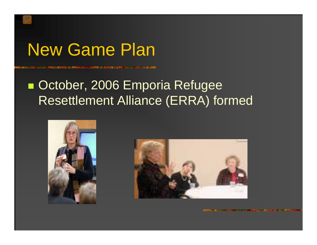### New Game Plan

### **Decamber, 2006 Emporia Refugee** Resettlement Alliance (ERRA) formed

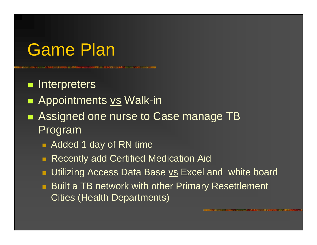### Game Plan

**n** Interpreters

- $\blacksquare$ Appointments vs Walk-in
- $\blacksquare$ Assigned one nurse to Case manage TB Program
	- Added 1 day of RN time
	- **Recently add Certified Medication Aid**
	- **Utilizing Access Data Base vs Excel and white board**
	- **Built a TB network with other Primary Resettlement** Cities (Health Departments)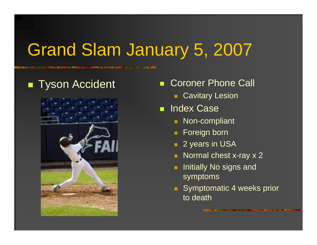# Grand Slam January 5, 2007

### ■ Tyson Accident



- Г Coroner Phone Call
	- **Cavitary Lesion**
- **Index Case** 
	- Non-compliant
	- Foreign born
	- **2** years in USA
	- Normal chest x-ray x 2
	- Initially No signs and symptoms
	- **Symptomatic 4 weeks prior** to death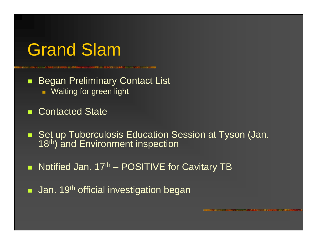### Grand Slam

П Began Preliminary Contact List **Naiting for green light** 

ш Contacted State

п Set up Tuberculosis Education Session at Tyson (Jan. 18<sup>th</sup>) and Environment inspection

п Notified Jan. 17<sup>th</sup> – POSITIVE for Cavitary TB

п Jan. 19<sup>th</sup> official investigation began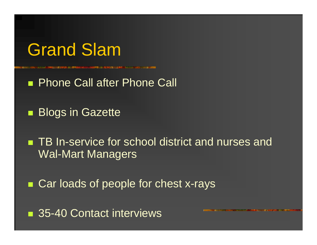

**Phone Call after Phone Call** 

**Blogs in Gazette** 

■ TB In-service for school district and nurses and Wal-Mart Managers

■ Car loads of people for chest x-rays

■ 35-40 Contact interviews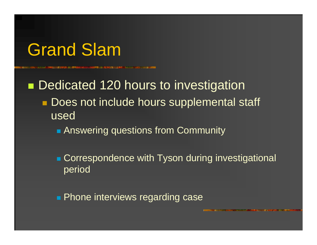### Grand Slam

■ Dedicated 120 hours to investigation **Does not include hours supplemental staff** used

- **Answering questions from Community**
- **Correspondence with Tyson during investigational** period

**Phone interviews regarding case**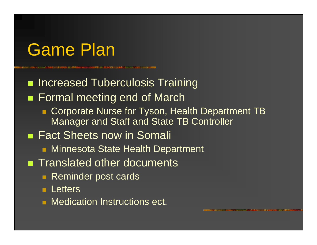# Game Plan

**Refinement Increased Tuberculosis Training** ■ Formal meeting end of March ■ Corporate Nurse for Tyson, Health Department TB Manager and Staff and State TB Controller ■ Fact Sheets now in Somali **Rata:** Minnesota State Health Department **Translated other documents Reminder post cards Letters • Medication Instructions ect.**